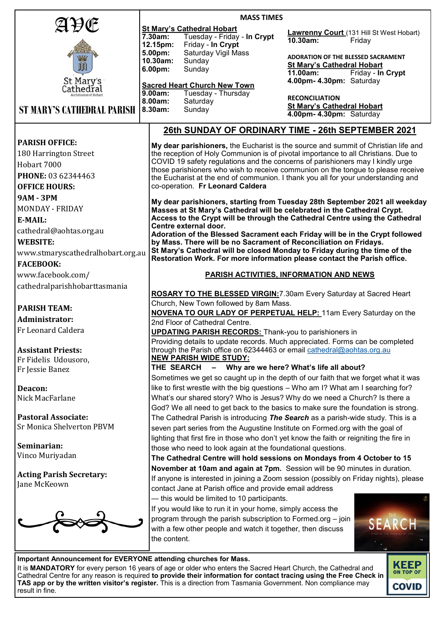|                                                                                                                             | <b>MASS TIMES</b>                                                                                                                                                                                                              |                                                                                    |  |
|-----------------------------------------------------------------------------------------------------------------------------|--------------------------------------------------------------------------------------------------------------------------------------------------------------------------------------------------------------------------------|------------------------------------------------------------------------------------|--|
| AÐŒ                                                                                                                         | <b>St Mary's Cathedral Hobart</b>                                                                                                                                                                                              | <b>Lawrenny Court</b> (131 Hill St West Hobart)                                    |  |
|                                                                                                                             | Tuesday - Friday - In Crypt<br>7.30am:                                                                                                                                                                                         | $10.30$ am:<br>Friday                                                              |  |
|                                                                                                                             | 12.15pm:<br>Friday - In Crypt<br>Saturday Vigil Mass<br>5.00pm:                                                                                                                                                                |                                                                                    |  |
|                                                                                                                             | 10.30am:<br>Sunday                                                                                                                                                                                                             | <b>ADORATION OF THE BLESSED SACRAMENT</b>                                          |  |
| 响                                                                                                                           | 6.00pm:<br>Sunday                                                                                                                                                                                                              | <b>St Mary's Cathedral Hobart</b><br>Friday - In Crypt<br>11.00am:                 |  |
| St Mary's                                                                                                                   | <b>Sacred Heart Church New Town</b>                                                                                                                                                                                            | 4.00pm- 4.30pm: Saturday                                                           |  |
| Cathedřal                                                                                                                   | Tuesday - Thursday<br>$9.00am$ :                                                                                                                                                                                               |                                                                                    |  |
|                                                                                                                             | 8.00am:<br>Saturday                                                                                                                                                                                                            | <b>RECONCILIATION</b><br><b>St Mary's Cathedral Hobart</b>                         |  |
| <b>ST MARY'S CATHEDRAL PARISH</b>                                                                                           | Sunday<br>8.30am:                                                                                                                                                                                                              | 4.00pm- 4.30pm: Saturday                                                           |  |
| 26th SUNDAY OF ORDINARY TIME - 26th SEPTEMBER 2021                                                                          |                                                                                                                                                                                                                                |                                                                                    |  |
| <b>PARISH OFFICE:</b>                                                                                                       |                                                                                                                                                                                                                                | My dear parishioners, the Eucharist is the source and summit of Christian life and |  |
| 180 Harrington Street                                                                                                       |                                                                                                                                                                                                                                | the reception of Holy Communion is of pivotal importance to all Christians. Due to |  |
| Hobart 7000                                                                                                                 | COVID 19 safety regulations and the concerns of parishioners may I kindly urge                                                                                                                                                 |                                                                                    |  |
| PHONE: 03 62344463                                                                                                          | those parishioners who wish to receive communion on the tongue to please receive                                                                                                                                               |                                                                                    |  |
| <b>OFFICE HOURS:</b>                                                                                                        | the Eucharist at the end of communion. I thank you all for your understanding and<br>co-operation. Fr Leonard Caldera                                                                                                          |                                                                                    |  |
|                                                                                                                             |                                                                                                                                                                                                                                |                                                                                    |  |
| <b>9AM - 3PM</b>                                                                                                            |                                                                                                                                                                                                                                | My dear parishioners, starting from Tuesday 28th September 2021 all weekday        |  |
| <b>MONDAY - FRIDAY</b>                                                                                                      | Masses at St Mary's Cathedral will be celebrated in the Cathedral Crypt.                                                                                                                                                       |                                                                                    |  |
| E-MAIL:                                                                                                                     | Access to the Crypt will be through the Cathedral Centre using the Cathedral<br>Centre external door.                                                                                                                          |                                                                                    |  |
| cathedral@aohtas.org.au                                                                                                     | Adoration of the Blessed Sacrament each Friday will be in the Crypt followed                                                                                                                                                   |                                                                                    |  |
| <b>WEBSITE:</b>                                                                                                             | by Mass. There will be no Sacrament of Reconciliation on Fridays.                                                                                                                                                              |                                                                                    |  |
| www.stmaryscathedralhobart.org.au                                                                                           | St Mary's Cathedral will be closed Monday to Friday during the time of the<br>Restoration Work. For more information please contact the Parish office.                                                                         |                                                                                    |  |
| <b>FACEBOOK:</b>                                                                                                            |                                                                                                                                                                                                                                |                                                                                    |  |
| www.facebook.com/                                                                                                           |                                                                                                                                                                                                                                | <b>PARISH ACTIVITIES, INFORMATION AND NEWS</b>                                     |  |
| cathedralparishhobarttasmania                                                                                               |                                                                                                                                                                                                                                |                                                                                    |  |
|                                                                                                                             | <b>ROSARY TO THE BLESSED VIRGIN: 7.30am Every Saturday at Sacred Heart</b>                                                                                                                                                     |                                                                                    |  |
| <b>PARISH TEAM:</b>                                                                                                         | Church, New Town followed by 8am Mass.                                                                                                                                                                                         |                                                                                    |  |
|                                                                                                                             | <b>NOVENA TO OUR LADY OF PERPETUAL HELP:</b> 11am Every Saturday on the                                                                                                                                                        |                                                                                    |  |
| <b>Administrator:</b>                                                                                                       | 2nd Floor of Cathedral Centre.                                                                                                                                                                                                 |                                                                                    |  |
| Fr Leonard Caldera                                                                                                          | <b>UPDATING PARISH RECORDS:</b> Thank-you to parishioners in                                                                                                                                                                   |                                                                                    |  |
|                                                                                                                             | Providing details to update records. Much appreciated. Forms can be completed                                                                                                                                                  |                                                                                    |  |
| <b>Assistant Priests:</b>                                                                                                   | through the Parish office on 62344463 or email cathedral@aohtas.org.au<br><b>NEW PARISH WIDE STUDY:</b>                                                                                                                        |                                                                                    |  |
| Fr Fidelis Udousoro,                                                                                                        | THE SEARCH<br>$-$                                                                                                                                                                                                              | Why are we here? What's life all about?                                            |  |
| Fr Jessie Banez                                                                                                             |                                                                                                                                                                                                                                | Sometimes we get so caught up in the depth of our faith that we forget what it was |  |
| Deacon:                                                                                                                     | like to first wrestle with the big questions - Who am I? What am I searching for?                                                                                                                                              |                                                                                    |  |
| Nick MacFarlane                                                                                                             | What's our shared story? Who is Jesus? Why do we need a Church? Is there a                                                                                                                                                     |                                                                                    |  |
|                                                                                                                             |                                                                                                                                                                                                                                | God? We all need to get back to the basics to make sure the foundation is strong.  |  |
| <b>Pastoral Associate:</b>                                                                                                  |                                                                                                                                                                                                                                | The Cathedral Parish is introducing The Search as a parish-wide study. This is a   |  |
| Sr Monica Shelverton PBVM                                                                                                   | seven part series from the Augustine Institute on Formed.org with the goal of                                                                                                                                                  |                                                                                    |  |
|                                                                                                                             | lighting that first fire in those who don't yet know the faith or reigniting the fire in                                                                                                                                       |                                                                                    |  |
| Seminarian:                                                                                                                 | those who need to look again at the foundational questions.                                                                                                                                                                    |                                                                                    |  |
| Vinco Muriyadan                                                                                                             | The Cathedral Centre will hold sessions on Mondays from 4 October to 15                                                                                                                                                        |                                                                                    |  |
|                                                                                                                             |                                                                                                                                                                                                                                |                                                                                    |  |
| <b>Acting Parish Secretary:</b>                                                                                             | November at 10am and again at 7pm. Session will be 90 minutes in duration.<br>If anyone is interested in joining a Zoom session (possibly on Friday nights), please<br>contact Jane at Parish office and provide email address |                                                                                    |  |
| Jane McKeown                                                                                                                |                                                                                                                                                                                                                                |                                                                                    |  |
|                                                                                                                             | - this would be limited to 10 participants.                                                                                                                                                                                    |                                                                                    |  |
|                                                                                                                             | If you would like to run it in your home, simply access the                                                                                                                                                                    |                                                                                    |  |
|                                                                                                                             |                                                                                                                                                                                                                                |                                                                                    |  |
| program through the parish subscription to Formed.org - join<br>with a few other people and watch it together, then discuss |                                                                                                                                                                                                                                |                                                                                    |  |
| the content.                                                                                                                |                                                                                                                                                                                                                                |                                                                                    |  |
|                                                                                                                             |                                                                                                                                                                                                                                |                                                                                    |  |
| Important Announcement for EVERYONE attending churches for Mass.                                                            |                                                                                                                                                                                                                                |                                                                                    |  |
|                                                                                                                             | It is MANDATORY for every person 16 years of age or older who enters the Sacred Heart Church, the Cathedral and                                                                                                                | <b>KEEP</b>                                                                        |  |

It is **MANDATORY** for every person 16 years of age or older who enters the Sacred Heart Church, the Cathedral and Cathedral Centre for any reason is required **to provide their information for contact tracing using the Free [Check in](https://coronavirus.tas.gov.au/check-in-tas)  [TAS app](https://coronavirus.tas.gov.au/check-in-tas) or by the written visitor's register.** This is a direction from Tasmania Government. Non compliance may result in fine.

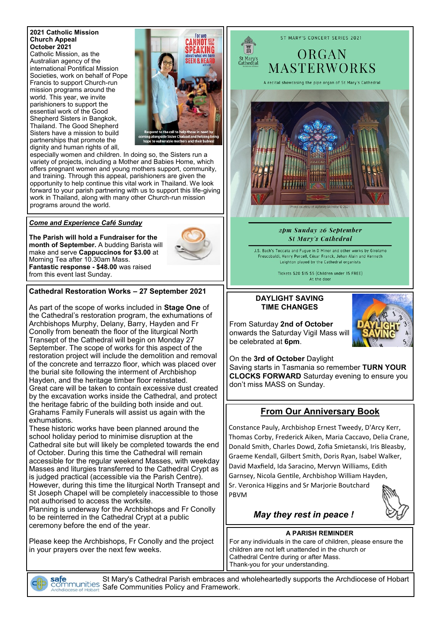#### **2021 Catholic Mission Church Appeal October 2021** Catholic Mission, as the Australian agency of the

international Pontifical Mission Societies, work on behalf of Pope Francis to support Church-run mission programs around the world. This year, we invite parishioners to support the essential work of the Good Shepherd Sisters in Bangkok, Thailand. The Good Shepherd Sisters have a mission to build partnerships that promote the dignity and human rights of all,



especially women and children. In doing so, the Sisters run a variety of projects, including a Mother and Babies Home, which offers pregnant women and young mothers support, community, and training. Through this appeal, parishioners are given the opportunity to help continue this vital work in Thailand. We look forward to your parish partnering with us to support this life-giving work in Thailand, along with many other Church-run mission programs around the world.

### *Come and Experience Café Sunday*

**The Parish will hold a Fundraiser for the month of September.** A budding Barista will make and serve **Cappuccinos for \$3.00** at Morning Tea after 10.30am Mass. **Fantastic response - \$48.00** was raised from this event last Sunday.



### **Cathedral Restoration Works – 27 September 2021**

As part of the scope of works included in **Stage One** of the Cathedral's restoration program, the exhumations of Archbishops Murphy, Delany, Barry, Hayden and Fr Conolly from beneath the floor of the liturgical North Transept of the Cathedral will begin on Monday 27 September. The scope of works for this aspect of the restoration project will include the demolition and removal of the concrete and terrazzo floor, which was placed over the burial site following the interment of Archbishop Hayden, and the heritage timber floor reinstated. Great care will be taken to contain excessive dust created by the excavation works inside the Cathedral, and protect the heritage fabric of the building both inside and out. Grahams Family Funerals will assist us again with the exhumations.

These historic works have been planned around the school holiday period to minimise disruption at the Cathedral site but will likely be completed towards the end of October. During this time the Cathedral will remain accessible for the regular weekend Masses, with weekday Masses and liturgies transferred to the Cathedral Crypt as is judged practical (accessible via the Parish Centre). However, during this time the liturgical North Transept and St Joseph Chapel will be completely inaccessible to those not authorised to access the worksite. Planning is underway for the Archbishops and Fr Conolly

to be reinterred in the Cathedral Crypt at a public ceremony before the end of the year.

Please keep the Archbishops, Fr Conolly and the project in your prayers over the next few weeks.

safe

ORGAN **MASTERWORKS** 

A recital showcasing the pipe organ of St Mary's Cathedral

ST MARY'S CONCERT SERIES 2021



2pm Sunday 26 September **St Mary's Cathedral** 

J.S. Bach's Toccata and Fugue in D Minor and other works by Girolamo Frescobaldi, Henry Purcell, César Franck, Jehan Alain and Kenneth Leighton played by the Cathedral organists

> Tickets \$20 \$15 \$5 (Children under 15 FREE) At the door

#### **DAYLIGHT SAVING TIME CHANGES**

From Saturday **2nd of October**  onwards the Saturday Vigil Mass will be celebrated at **6pm**.

don't miss MASS on Sunday.



### **From Our Anniversary Book**

Constance Pauly, Archbishop Ernest Tweedy, D'Arcy Kerr, Thomas Corby, Frederick Aiken, Maria Caccavo, Delia Crane, Donald Smith, Charles Dowd, Zofia Smietanski, Iris Bleasby, Graeme Kendall, Gilbert Smith, Doris Ryan, Isabel Walker, David Maxfield, Ida Saracino, Mervyn Williams, Edith Garnsey, Nicola Gentile, Archbishop William Hayden, Sr. Veronica Higgins and Sr Marjorie Boutchard PBVM



### *May they rest in peace !*

#### **A PARISH REMINDER**

For any individuals in the care of children, please ensure the children are not left unattended in the church or Cathedral Centre during or after Mass. Thank-you for your understanding.

St Mary's Cathedral Parish embraces and wholeheartedly supports the Archdiocese of Hobart **EXAMPLE COMMUNITY COMMUNITY CONTRACTS**<br>Tincese of Hobart Safe Communities Policy and Framework.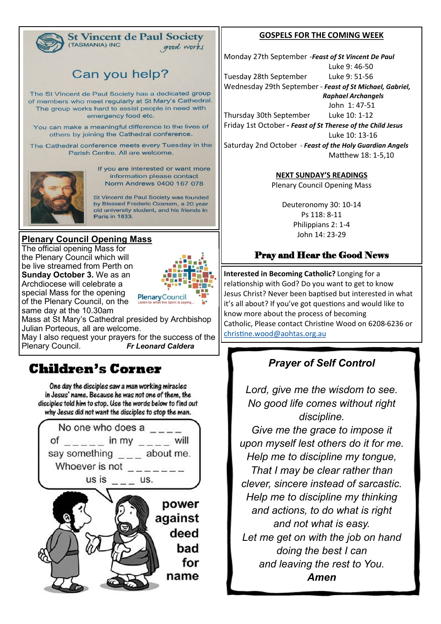

#### **St Vincent de Paul Society** (TASMANIA) INC good works

# Can you help?

The St Vincent de Paul Society has a dedicated group of members who meet regularly at St Mary's Cathedral. The group works hard to assist people in need with emergency food etc.

You can make a meaningful difference to the lives of others by joining the Cathedral conference.

The Cathedral conference meets every Tuesday in the Parish Centre. All are welcome.



If you are interested or want more information please contact Norm Andrews 0400 167 078

St Vincent de Paul Society was founded by Blessed Frederic Ozanam, a 20 year old university student, and his friends in **Paris in 1833.** 

### **Plenary Council Opening Mass**

The official opening Mass for the Plenary Council which will be live streamed from Perth on **Sunday October 3.** We as an Archdiocese will celebrate a special Mass for the opening of the Plenary Council, on the same day at the 10.30am



Mass at St Mary's Cathedral presided by Archbishop Julian Porteous, all are welcome. May I also request your prayers for the success of the

Plenary Council. *Fr Leonard Caldera*

# **Children's Corner**

One day the disciples saw a man working miracles in Jesus' name. Because he was not one of them, the disciples told him to stop. Use the words below to find out why Jesus did not want the disciples to stop the man.



### **GOSPELS FOR THE COMING WEEK**

Monday 27th September -*Feast of St Vincent De Paul* Luke 9: 46-50 Tuesday 28th September Luke 9: 51-56 Wednesday 29th September - *Feast of St Michael, Gabriel, Raphael Archangels* John 1: 47-51

Thursday 30th September Luke 10: 1-12 Friday 1st October *- Feast of St Therese of the Child Jesus*

Luke 10: 13-16

Saturday 2nd October - *Feast of the Holy Guardian Angels* Matthew 18: 1-5,10

**NEXT SUNDAY'S READINGS**

Plenary Council Opening Mass

Deuteronomy 30: 10-14 [Ps 118: 8](https://www.liturgyhelp.com/ritual/lectionary/LectionaryListPsalm%7Cpsm)-11 Philippians 2: 1-4 John 14: 23-29

## Pray and Hear the Good News

**Interested in Becoming Catholic?** Longing for a relationship with God? Do you want to get to know Jesus Christ? Never been baptised but interested in what it's all about? If you've got questions and would like to know more about the process of becoming Catholic, Please contact Christine Wood on 6208-6236 or [christine.wood@aohtas.org.au](mailto:christine.wood@aohtas.org.au)

## *Prayer of Self Control*

*Lord, give me the wisdom to see. No good life comes without right discipline.*

*Give me the grace to impose it upon myself lest others do it for me. Help me to discipline my tongue, That I may be clear rather than clever, sincere instead of sarcastic. Help me to discipline my thinking and actions, to do what is right and not what is easy. Let me get on with the job on hand doing the best I can and leaving the rest to You. Amen*